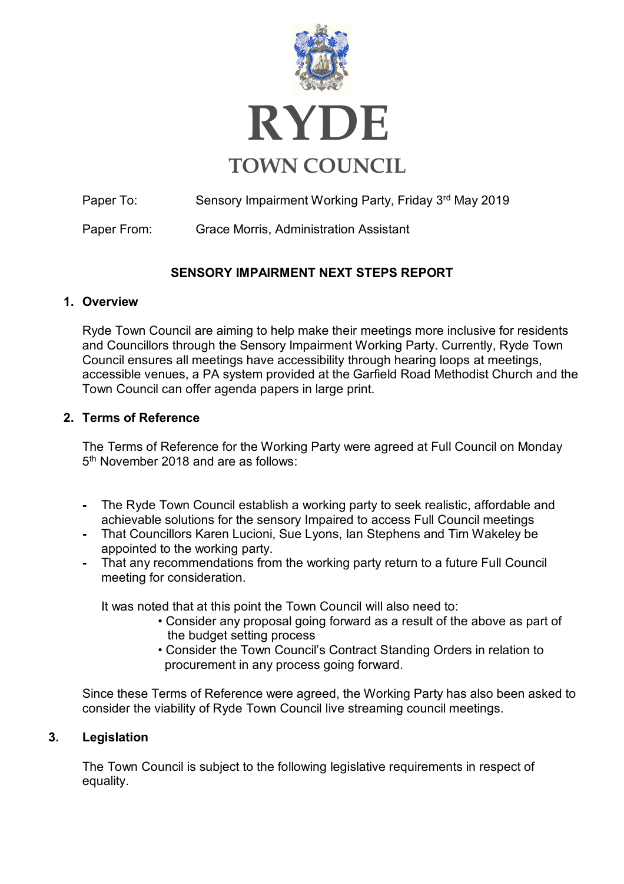

Paper To: Sensory Impairment Working Party, Friday 3<sup>rd</sup> May 2019

Paper From: Grace Morris, Administration Assistant

## **SENSORY IMPAIRMENT NEXT STEPS REPORT**

#### **1. Overview**

Ryde Town Council are aiming to help make their meetings more inclusive for residents and Councillors through the Sensory Impairment Working Party. Currently, Ryde Town Council ensures all meetings have accessibility through hearing loops at meetings, accessible venues, a PA system provided at the Garfield Road Methodist Church and the Town Council can offer agenda papers in large print.

#### **2. Terms of Reference**

The Terms of Reference for the Working Party were agreed at Full Council on Monday 5th November 2018 and are as follows:

- **-** The Ryde Town Council establish a working party to seek realistic, affordable and achievable solutions for the sensory Impaired to access Full Council meetings
- **-** That Councillors Karen Lucioni, Sue Lyons, Ian Stephens and Tim Wakeley be appointed to the working party.
- **-** That any recommendations from the working party return to a future Full Council meeting for consideration.

It was noted that at this point the Town Council will also need to:

- Consider any proposal going forward as a result of the above as part of the budget setting process
- Consider the Town Council's Contract Standing Orders in relation to procurement in any process going forward.

Since these Terms of Reference were agreed, the Working Party has also been asked to consider the viability of Ryde Town Council live streaming council meetings.

#### **3. Legislation**

The Town Council is subject to the following legislative requirements in respect of equality.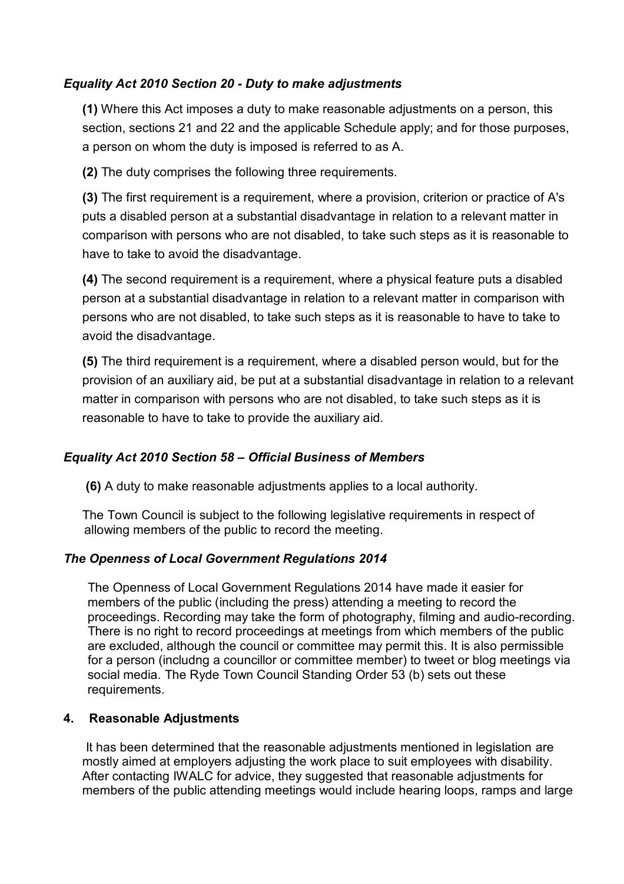#### *Equality Act 2010 Section 20 - Duty to make adjustments*

**(1)** Where this Act imposes a duty to make reasonable adjustments on a person, this section, sections 21 and 22 and the applicable Schedule apply; and for those purposes, a person on whom the duty is imposed is referred to as A.

**(2)** The duty comprises the following three requirements.

**(3)** The first requirement is a requirement, where a provision, criterion or practice of A's puts a disabled person at a substantial disadvantage in relation to a relevant matter in comparison with persons who are not disabled, to take such steps as it is reasonable to have to take to avoid the disadvantage.

**(4)** The second requirement is a requirement, where a physical feature puts a disabled person at a substantial disadvantage in relation to a relevant matter in comparison with persons who are not disabled, to take such steps as it is reasonable to have to take to avoid the disadvantage.

**(5)** The third requirement is a requirement, where a disabled person would, but for the provision of an auxiliary aid, be put at a substantial disadvantage in relation to a relevant matter in comparison with persons who are not disabled, to take such steps as it is reasonable to have to take to provide the auxiliary aid.

### *Equality Act 2010 Section 58 – Official Business of Members*

**(6)** A duty to make reasonable adjustments applies to a local authority.

The Town Council is subject to the following legislative requirements in respect of allowing members of the public to record the meeting.

#### *The Openness of Local Government Regulations 2014*

 The Openness of Local Government Regulations 2014 have made it easier for members of the public (including the press) attending a meeting to record the proceedings. Recording may take the form of photography, filming and audio-recording. There is no right to record proceedings at meetings from which members of the public are excluded, although the council or committee may permit this. It is also permissible for a person (includng a councillor or committee member) to tweet or blog meetings via social media. The Ryde Town Council Standing Order 53 (b) sets out these requirements.

#### **4. Reasonable Adjustments**

It has been determined that the reasonable adjustments mentioned in legislation are mostly aimed at employers adjusting the work place to suit employees with disability. After contacting IWALC for advice, they suggested that reasonable adjustments for members of the public attending meetings would include hearing loops, ramps and large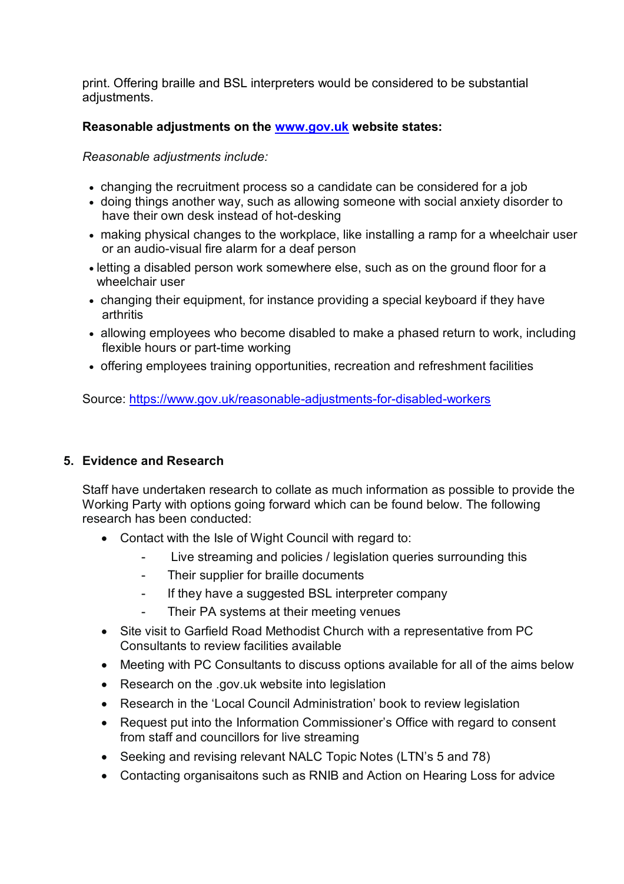print. Offering braille and BSL interpreters would be considered to be substantial adjustments.

#### **Reasonable adjustments on the [www.gov.uk](http://www.gov.uk/) website states:**

*Reasonable adjustments include:*

- changing the recruitment process so a candidate can be considered for a job
- doing things another way, such as allowing someone with social anxiety disorder to have their own desk instead of hot-desking
- making physical changes to the workplace, like installing a ramp for a wheelchair user or an audio-visual fire alarm for a deaf person
- letting a disabled person work somewhere else, such as on the ground floor for a wheelchair user
- changing their equipment, for instance providing a special keyboard if they have arthritis
- allowing employees who become disabled to make a phased return to work, including flexible hours or part-time working
- offering employees training opportunities, recreation and refreshment facilities

Source:<https://www.gov.uk/reasonable-adjustments-for-disabled-workers>

#### **5. Evidence and Research**

Staff have undertaken research to collate as much information as possible to provide the Working Party with options going forward which can be found below. The following research has been conducted:

- Contact with the Isle of Wight Council with regard to:
	- Live streaming and policies / legislation queries surrounding this
	- Their supplier for braille documents
	- If they have a suggested BSL interpreter company
	- Their PA systems at their meeting venues
- Site visit to Garfield Road Methodist Church with a representative from PC Consultants to review facilities available
- Meeting with PC Consultants to discuss options available for all of the aims below
- Research on the .gov.uk website into legislation
- Research in the 'Local Council Administration' book to review legislation
- Request put into the Information Commissioner's Office with regard to consent from staff and councillors for live streaming
- Seeking and revising relevant NALC Topic Notes (LTN's 5 and 78)
- Contacting organisaitons such as RNIB and Action on Hearing Loss for advice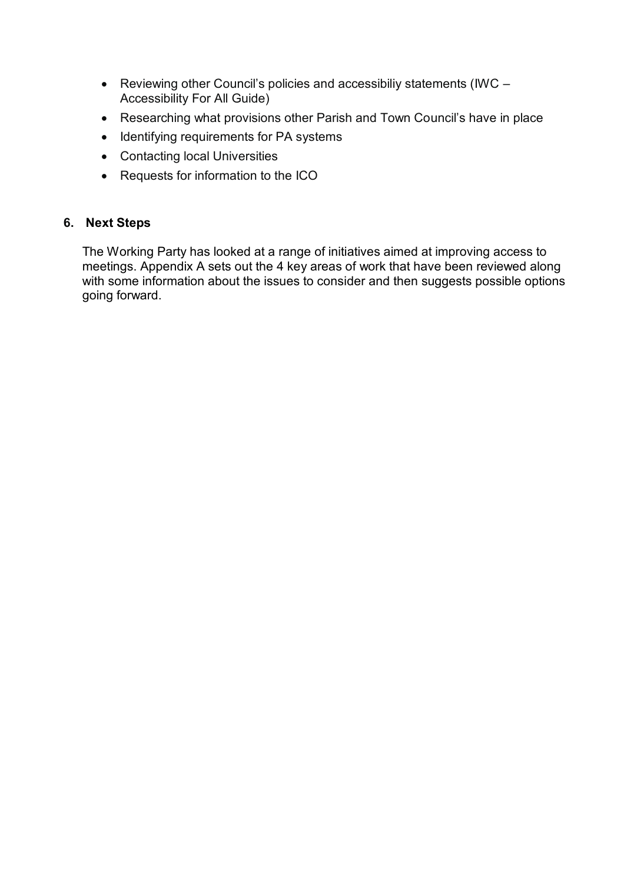- Reviewing other Council's policies and accessibiliy statements (IWC Accessibility For All Guide)
- Researching what provisions other Parish and Town Council's have in place
- Identifying requirements for PA systems
- Contacting local Universities
- Requests for information to the ICO

#### **6. Next Steps**

The Working Party has looked at a range of initiatives aimed at improving access to meetings. Appendix A sets out the 4 key areas of work that have been reviewed along with some information about the issues to consider and then suggests possible options going forward.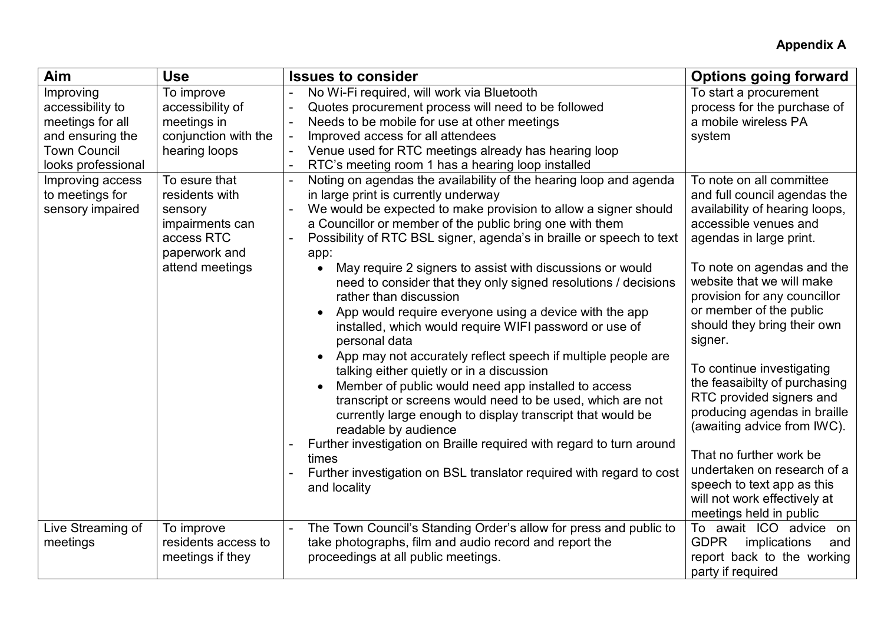# **Appendix A**

| Aim                                                                                                                                                                           | <b>Use</b>                                                                                                                                                                                                | <b>Issues to consider</b>                                                                                                                                                                                                                                                                                                                                                                                                                                                                                                                                                                                                                                                                                                                                                                                                                                                                                                                  | <b>Options going forward</b>                                                                                                                                                                                                                                                                                                                                                                              |
|-------------------------------------------------------------------------------------------------------------------------------------------------------------------------------|-----------------------------------------------------------------------------------------------------------------------------------------------------------------------------------------------------------|--------------------------------------------------------------------------------------------------------------------------------------------------------------------------------------------------------------------------------------------------------------------------------------------------------------------------------------------------------------------------------------------------------------------------------------------------------------------------------------------------------------------------------------------------------------------------------------------------------------------------------------------------------------------------------------------------------------------------------------------------------------------------------------------------------------------------------------------------------------------------------------------------------------------------------------------|-----------------------------------------------------------------------------------------------------------------------------------------------------------------------------------------------------------------------------------------------------------------------------------------------------------------------------------------------------------------------------------------------------------|
| Improving<br>accessibility to<br>meetings for all<br>and ensuring the<br><b>Town Council</b><br>looks professional<br>Improving access<br>to meetings for<br>sensory impaired | To improve<br>accessibility of<br>meetings in<br>conjunction with the<br>hearing loops<br>To esure that<br>residents with<br>sensory<br>impairments can<br>access RTC<br>paperwork and<br>attend meetings | No Wi-Fi required, will work via Bluetooth<br>Quotes procurement process will need to be followed<br>Needs to be mobile for use at other meetings<br>Improved access for all attendees<br>Venue used for RTC meetings already has hearing loop<br>RTC's meeting room 1 has a hearing loop installed<br>Noting on agendas the availability of the hearing loop and agenda<br>in large print is currently underway<br>We would be expected to make provision to allow a signer should<br>a Councillor or member of the public bring one with them<br>Possibility of RTC BSL signer, agenda's in braille or speech to text<br>app:<br>May require 2 signers to assist with discussions or would<br>$\bullet$<br>need to consider that they only signed resolutions / decisions<br>rather than discussion<br>App would require everyone using a device with the app<br>installed, which would require WIFI password or use of<br>personal data | To start a procurement<br>process for the purchase of<br>a mobile wireless PA<br>system<br>To note on all committee<br>and full council agendas the<br>availability of hearing loops,<br>accessible venues and<br>agendas in large print.<br>To note on agendas and the<br>website that we will make<br>provision for any councillor<br>or member of the public<br>should they bring their own<br>signer. |
|                                                                                                                                                                               |                                                                                                                                                                                                           | App may not accurately reflect speech if multiple people are<br>talking either quietly or in a discussion<br>Member of public would need app installed to access<br>$\bullet$<br>transcript or screens would need to be used, which are not<br>currently large enough to display transcript that would be<br>readable by audience<br>Further investigation on Braille required with regard to turn around                                                                                                                                                                                                                                                                                                                                                                                                                                                                                                                                  | To continue investigating<br>the feasaibilty of purchasing<br>RTC provided signers and<br>producing agendas in braille<br>(awaiting advice from IWC).                                                                                                                                                                                                                                                     |
|                                                                                                                                                                               |                                                                                                                                                                                                           | times<br>Further investigation on BSL translator required with regard to cost<br>and locality                                                                                                                                                                                                                                                                                                                                                                                                                                                                                                                                                                                                                                                                                                                                                                                                                                              | That no further work be<br>undertaken on research of a<br>speech to text app as this<br>will not work effectively at<br>meetings held in public                                                                                                                                                                                                                                                           |
| Live Streaming of<br>meetings                                                                                                                                                 | To improve<br>residents access to<br>meetings if they                                                                                                                                                     | The Town Council's Standing Order's allow for press and public to<br>take photographs, film and audio record and report the<br>proceedings at all public meetings.                                                                                                                                                                                                                                                                                                                                                                                                                                                                                                                                                                                                                                                                                                                                                                         | To await ICO advice on<br><b>GDPR</b><br>implications<br>and<br>report back to the working<br>party if required                                                                                                                                                                                                                                                                                           |